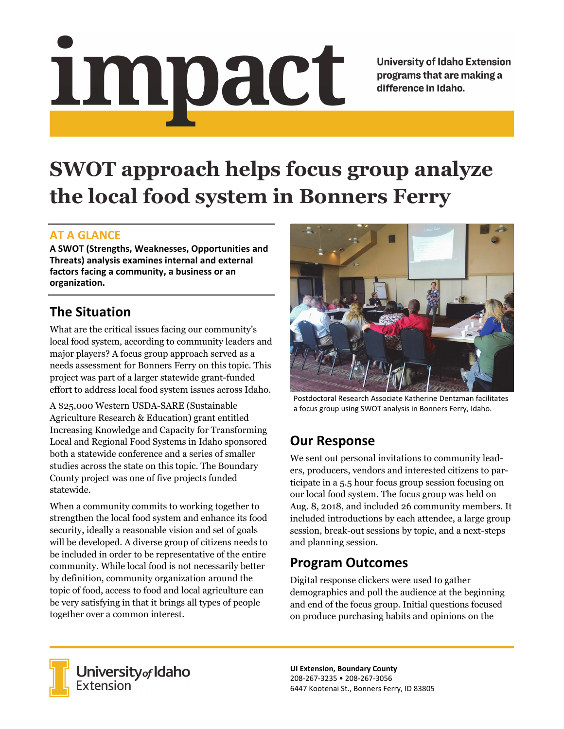# impact

**University of Idaho Extension** programs that are making a difference in Idaho.

# **SWOT approach helps focus group analyze the local food system in Bonners Ferry**

### **AT A GLANCE**

**A SWOT (Strengths, Weaknesses, Opportunities and Threats) analysis examines internal and external factors facing a community, a business or an organization.** 

## **The Situation**

What are the critical issues facing our community's local food system, according to community leaders and major players? A focus group approach served as a needs assessment for Bonners Ferry on this topic. This project was part of a larger statewide grant-funded effort to address local food system issues across Idaho.

A \$25,000 Western USDA-SARE (Sustainable Agriculture Research & Education) grant entitled Increasing Knowledge and Capacity for Transforming Local and Regional Food Systems in Idaho sponsored both a statewide conference and a series of smaller studies across the state on this topic. The Boundary County project was one of five projects funded statewide.

When a community commits to working together to strengthen the local food system and enhance its food security, ideally a reasonable vision and set of goals will be developed. A diverse group of citizens needs to be included in order to be representative of the entire community. While local food is not necessarily better by definition, community organization around the topic of food, access to food and local agriculture can be very satisfying in that it brings all types of people together over a common interest.



Postdoctoral Research Associate Katherine Dentzman facilitates a focus group using SWOT analysis in Bonners Ferry, Idaho.

### **Our Response**

We sent out personal invitations to community leaders, producers, vendors and interested citizens to participate in a 5.5 hour focus group session focusing on our local food system. The focus group was held on Aug. 8, 2018, and included 26 community members. It included introductions by each attendee, a large group session, break-out sessions by topic, and a next-steps and planning session.

### **Program Outcomes**

Digital response clickers were used to gather demographics and poll the audience at the beginning and end of the focus group. Initial questions focused on produce purchasing habits and opinions on the



University<sub>of</sub> Idaho Extension

**UI Extension, Boundary County**  208‐267‐3235 • 208‐267‐3056 6447 Kootenai St., Bonners Ferry, ID 83805